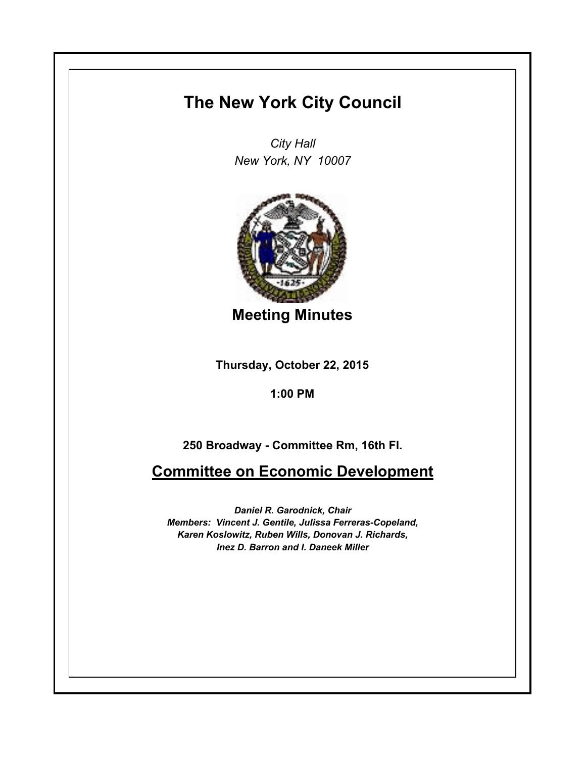## **The New York City Council**

*City Hall New York, NY 10007*



**Meeting Minutes**

**Thursday, October 22, 2015**

**1:00 PM**

**250 Broadway - Committee Rm, 16th Fl.**

**Committee on Economic Development**

*Daniel R. Garodnick, Chair Members: Vincent J. Gentile, Julissa Ferreras-Copeland, Karen Koslowitz, Ruben Wills, Donovan J. Richards, Inez D. Barron and I. Daneek Miller*